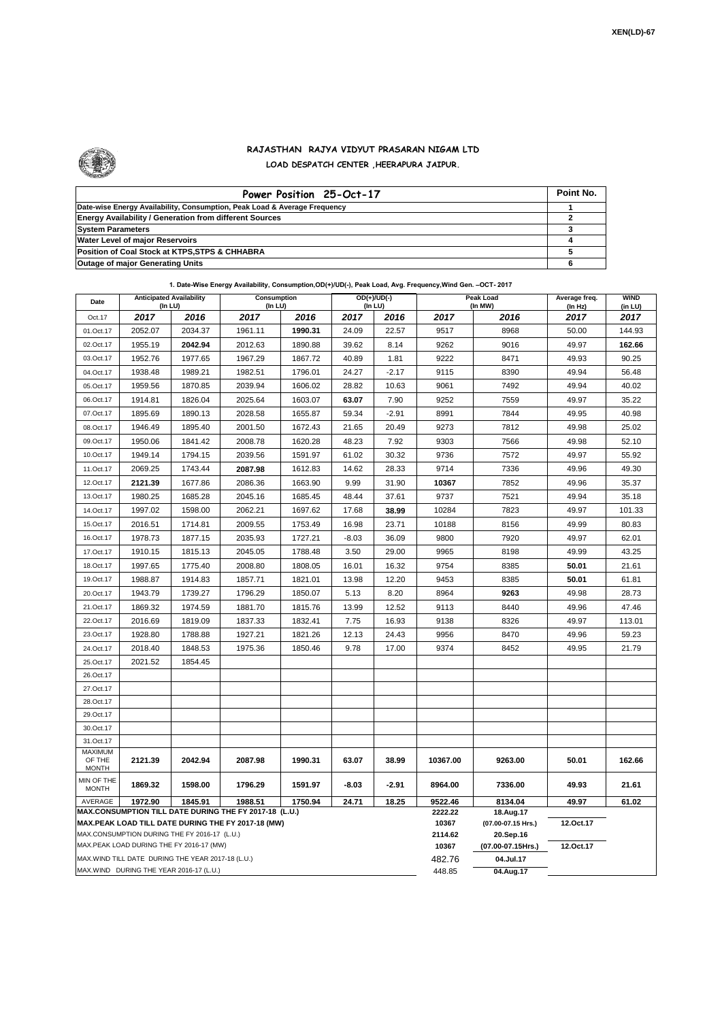

## **RAJASTHAN RAJYA VIDYUT PRASARAN NIGAM LTD LOAD DESPATCH CENTER ,HEERAPURA JAIPUR.**

| Power Position 25-Oct-17                                                  | Point No. |
|---------------------------------------------------------------------------|-----------|
| Date-wise Energy Availability, Consumption, Peak Load & Average Frequency |           |
| <b>Energy Availability / Generation from different Sources</b>            |           |
| <b>System Parameters</b>                                                  |           |
| <b>Water Level of major Reservoirs</b>                                    |           |
| Position of Coal Stock at KTPS, STPS & CHHABRA                            |           |
| <b>Outage of major Generating Units</b>                                   |           |

**1. Date-Wise Energy Availability, Consumption,OD(+)/UD(-), Peak Load, Avg. Frequency,Wind Gen. –OCT- 2017**

| Date                                                                                                         | <b>Anticipated Availability</b><br>(In LU)         |         | <b>Consumption</b><br>(In LU) |         | OD(+)/UD(-)<br>(In LU) |         |                  | <b>Peak Load</b><br>(In MW)     | Average freq.<br>(In Hz) | <b>WIND</b><br>(in LU) |
|--------------------------------------------------------------------------------------------------------------|----------------------------------------------------|---------|-------------------------------|---------|------------------------|---------|------------------|---------------------------------|--------------------------|------------------------|
| Oct.17                                                                                                       | 2017                                               | 2016    | 2017                          | 2016    | 2017                   | 2016    | 2017             | 2016                            | 2017                     | 2017                   |
| 01.Oct.17                                                                                                    | 2052.07                                            | 2034.37 | 1961.11                       | 1990.31 | 24.09                  | 22.57   | 9517             | 8968                            | 50.00                    | 144.93                 |
| 02.Oct.17                                                                                                    | 1955.19                                            | 2042.94 | 2012.63                       | 1890.88 | 39.62                  | 8.14    | 9262             | 9016                            | 49.97                    | 162.66                 |
| 03.Oct.17                                                                                                    | 1952.76                                            | 1977.65 | 1967.29                       | 1867.72 | 40.89                  | 1.81    | 9222             | 8471                            | 49.93                    | 90.25                  |
| 04.Oct.17                                                                                                    | 1938.48                                            | 1989.21 | 1982.51                       | 1796.01 | 24.27                  | $-2.17$ | 9115             | 8390                            | 49.94                    | 56.48                  |
| 05.Oct.17                                                                                                    | 1959.56                                            | 1870.85 | 2039.94                       | 1606.02 | 28.82                  | 10.63   | 9061             | 7492                            | 49.94                    | 40.02                  |
| 06.Oct.17                                                                                                    | 1914.81                                            | 1826.04 | 2025.64                       | 1603.07 | 63.07                  | 7.90    | 9252             | 7559                            | 49.97                    | 35.22                  |
| 07.Oct.17                                                                                                    | 1895.69                                            | 1890.13 | 2028.58                       | 1655.87 | 59.34                  | $-2.91$ | 8991             | 7844                            | 49.95                    | 40.98                  |
| 08.Oct.17                                                                                                    | 1946.49                                            | 1895.40 | 2001.50                       | 1672.43 | 21.65                  | 20.49   | 9273             | 7812                            | 49.98                    | 25.02                  |
| 09.Oct.17                                                                                                    | 1950.06                                            | 1841.42 | 2008.78                       | 1620.28 | 48.23                  | 7.92    | 9303             | 7566                            | 49.98                    | 52.10                  |
| 10.Oct.17                                                                                                    | 1949.14                                            | 1794.15 | 2039.56                       | 1591.97 | 61.02                  | 30.32   | 9736             | 7572                            | 49.97                    | 55.92                  |
| 11.Oct.17                                                                                                    | 2069.25                                            | 1743.44 | 2087.98                       | 1612.83 | 14.62                  | 28.33   | 9714             | 7336                            | 49.96                    | 49.30                  |
| 12.Oct.17                                                                                                    | 2121.39                                            | 1677.86 | 2086.36                       | 1663.90 | 9.99                   | 31.90   | 10367            | 7852                            | 49.96                    | 35.37                  |
| 13.Oct.17                                                                                                    | 1980.25                                            | 1685.28 | 2045.16                       | 1685.45 | 48.44                  | 37.61   | 9737             | 7521                            | 49.94                    | 35.18                  |
| 14.Oct.17                                                                                                    | 1997.02                                            | 1598.00 | 2062.21                       | 1697.62 | 17.68                  | 38.99   | 10284            | 7823                            | 49.97                    | 101.33                 |
| 15.Oct.17                                                                                                    | 2016.51                                            | 1714.81 | 2009.55                       | 1753.49 | 16.98                  | 23.71   | 10188            | 8156                            | 49.99                    | 80.83                  |
| 16.Oct.17                                                                                                    | 1978.73                                            | 1877.15 | 2035.93                       | 1727.21 | $-8.03$                | 36.09   | 9800             | 7920                            | 49.97                    | 62.01                  |
| 17.Oct.17                                                                                                    | 1910.15                                            | 1815.13 | 2045.05                       | 1788.48 | 3.50                   | 29.00   | 9965             | 8198                            | 49.99                    | 43.25                  |
| 18.Oct.17                                                                                                    | 1997.65                                            | 1775.40 | 2008.80                       | 1808.05 | 16.01                  | 16.32   | 9754             | 8385                            | 50.01                    | 21.61                  |
| 19.Oct.17                                                                                                    | 1988.87                                            | 1914.83 | 1857.71                       | 1821.01 | 13.98                  | 12.20   | 9453             | 8385                            | 50.01                    | 61.81                  |
| 20.Oct.17                                                                                                    | 1943.79                                            | 1739.27 | 1796.29                       | 1850.07 | 5.13                   | 8.20    | 8964             | 9263                            | 49.98                    | 28.73                  |
| 21.Oct.17                                                                                                    | 1869.32                                            | 1974.59 | 1881.70                       | 1815.76 | 13.99                  | 12.52   | 9113             | 8440                            | 49.96                    | 47.46                  |
| 22.Oct.17                                                                                                    | 2016.69                                            | 1819.09 | 1837.33                       | 1832.41 | 7.75                   | 16.93   | 9138             | 8326                            | 49.97                    | 113.01                 |
| 23.Oct.17                                                                                                    | 1928.80                                            | 1788.88 | 1927.21                       | 1821.26 | 12.13                  | 24.43   | 9956             | 8470                            | 49.96                    | 59.23                  |
| 24.Oct.17                                                                                                    | 2018.40                                            | 1848.53 | 1975.36                       | 1850.46 | 9.78                   | 17.00   | 9374             | 8452                            | 49.95                    | 21.79                  |
| 25.Oct.17                                                                                                    | 2021.52                                            | 1854.45 |                               |         |                        |         |                  |                                 |                          |                        |
| 26.Oct.17                                                                                                    |                                                    |         |                               |         |                        |         |                  |                                 |                          |                        |
| 27.Oct.17                                                                                                    |                                                    |         |                               |         |                        |         |                  |                                 |                          |                        |
| 28.Oct.17                                                                                                    |                                                    |         |                               |         |                        |         |                  |                                 |                          |                        |
| 29.Oct.17                                                                                                    |                                                    |         |                               |         |                        |         |                  |                                 |                          |                        |
| 30.Oct.17                                                                                                    |                                                    |         |                               |         |                        |         |                  |                                 |                          |                        |
| 31.Oct.17                                                                                                    |                                                    |         |                               |         |                        |         |                  |                                 |                          |                        |
| MAXIMUM<br>OF THE<br><b>MONTH</b>                                                                            | 2121.39                                            | 2042.94 | 2087.98                       | 1990.31 | 63.07                  | 38.99   | 10367.00         | 9263.00                         | 50.01                    | 162.66                 |
| MIN OF THE<br><b>MONTH</b>                                                                                   | 1869.32                                            | 1598.00 | 1796.29                       | 1591.97 | -8.03                  | $-2.91$ | 8964.00          | 7336.00                         | 49.93                    | 21.61                  |
| 1845.91<br>AVERAGE<br>1972.90<br>1988.51<br>1750.94<br>24.71<br>18.25                                        |                                                    |         |                               |         |                        | 9522.46 | 8134.04          | 49.97                           | 61.02                    |                        |
| MAX.CONSUMPTION TILL DATE DURING THE FY 2017-18 (L.U.)<br>MAX.PEAK LOAD TILL DATE DURING THE FY 2017-18 (MW) |                                                    |         |                               |         |                        |         | 2222.22<br>10367 | 18.Aug.17<br>(07.00-07.15 Hrs.) | 12.Oct.17                |                        |
| MAX.CONSUMPTION DURING THE FY 2016-17 (L.U.)                                                                 |                                                    |         |                               |         |                        |         | 2114.62          | 20.Sep.16                       |                          |                        |
|                                                                                                              | MAX.PEAK LOAD DURING THE FY 2016-17 (MW)           |         |                               |         |                        |         | 10367            | (07.00-07.15Hrs.)               | 12.Oct.17                |                        |
|                                                                                                              | MAX. WIND TILL DATE DURING THE YEAR 2017-18 (L.U.) |         |                               |         |                        |         | 482.76           | 04.Jul.17                       |                          |                        |
| MAX.WIND DURING THE YEAR 2016-17 (L.U.)                                                                      |                                                    |         |                               |         |                        |         |                  | 04.Aug.17                       |                          |                        |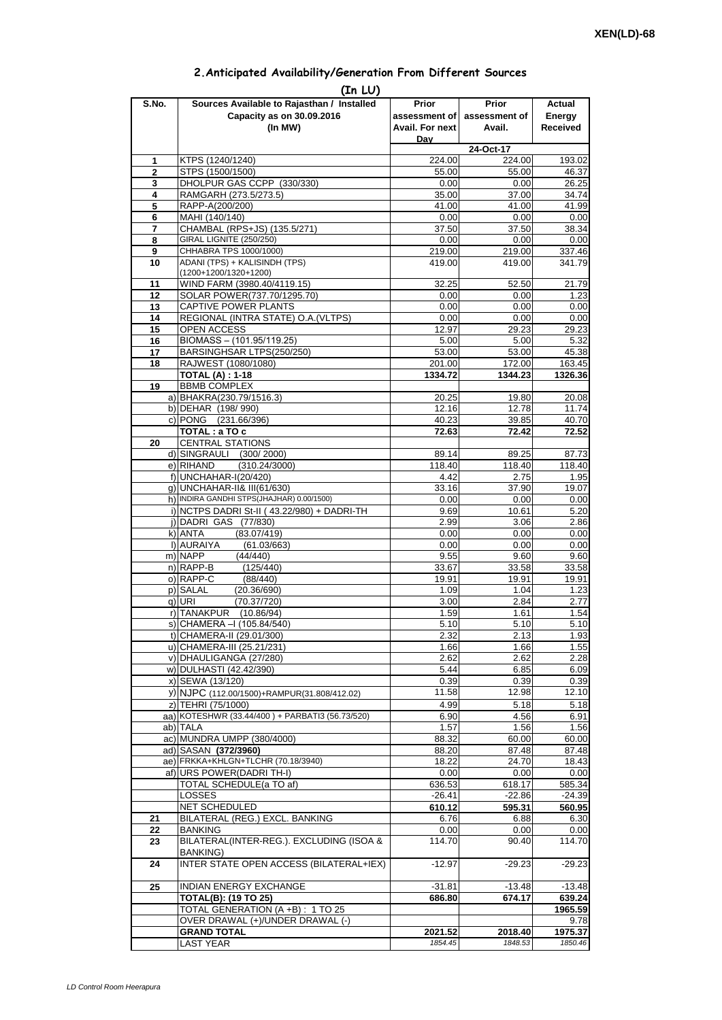| 2. Anticipated Availability/Generation From Different Sources |  |  |  |
|---------------------------------------------------------------|--|--|--|
|                                                               |  |  |  |

| S.No.               | (In LU)<br>Sources Available to Rajasthan / Installed                | Prior              | <b>Prior</b>       | Actual                                                                                                       |
|---------------------|----------------------------------------------------------------------|--------------------|--------------------|--------------------------------------------------------------------------------------------------------------|
|                     | Capacity as on 30.09.2016                                            | assessment of      | assessment of      | Energy                                                                                                       |
|                     | (In MW)                                                              | Avail. For next    | Avail.             | Received                                                                                                     |
|                     |                                                                      | Dav                |                    |                                                                                                              |
|                     |                                                                      |                    | 24-Oct-17          |                                                                                                              |
| 1                   | KTPS (1240/1240)                                                     | 224.00             | 224.00             | 193.02                                                                                                       |
| $\overline{2}$<br>3 | STPS (1500/1500)<br>DHOLPUR GAS CCPP (330/330)                       | 55.00              | 55.00              | 46.37                                                                                                        |
| 4                   | RAMGARH (273.5/273.5)                                                | 0.00<br>35.00      | 0.00<br>37.00      | 26.25<br>34.74                                                                                               |
| 5                   | RAPP-A(200/200)                                                      | 41.00              | 41.00              | 41.99                                                                                                        |
| 6                   | MAHI (140/140)                                                       | 0.00               | 0.00               | 0.00                                                                                                         |
| $\overline{7}$      | CHAMBAL (RPS+JS) (135.5/271)                                         | 37.50              | 37.50              | 38.34                                                                                                        |
| 8                   | GIRAL LIGNITE (250/250)                                              | 0.00               | 0.00               | 0.00                                                                                                         |
| 9                   | CHHABRA TPS 1000/1000)                                               | 219.00             | 219.00             | 337.46                                                                                                       |
| 10                  | ADANI (TPS) + KALISINDH (TPS)<br>(1200+1200/1320+1200)               | 419.00             | 419.00             | 341.79                                                                                                       |
| 11                  | WIND FARM (3980.40/4119.15)                                          | 32.25              | 52.50              | 21.79                                                                                                        |
| 12                  | SOLAR POWER(737.70/1295.70)                                          | 0.00               | 0.00               | 1.23                                                                                                         |
| 13                  | CAPTIVE POWER PLANTS                                                 | 0.00               | 0.00               | 0.00                                                                                                         |
| 14                  | REGIONAL (INTRA STATE) O.A. (VLTPS)                                  | 0.00               | 0.00               | 0.00                                                                                                         |
| 15                  | OPEN ACCESS                                                          | 12.97              | 29.23              | 29.23                                                                                                        |
| 16                  | BIOMASS - (101.95/119.25)                                            | 5.00               | 5.00               | 5.32                                                                                                         |
| 17                  | BARSINGHSAR LTPS(250/250)                                            | 53.00              | 53.00              | 45.38                                                                                                        |
| 18                  | RAJWEST (1080/1080)                                                  | 201.00             | 172.00             | 163.45                                                                                                       |
|                     | <b>TOTAL (A): 1-18</b>                                               | 1334.72            | 1344.23            | 1326.36                                                                                                      |
| 19                  | <b>BBMB COMPLEX</b><br>a) BHAKRA(230.79/1516.3)                      | 20.25              | 19.80              | 20.08                                                                                                        |
|                     | b) DEHAR (198/990)                                                   | 12.16              | 12.78              | 11.74                                                                                                        |
|                     | c) PONG (231.66/396)                                                 | 40.23              | 39.85              | 40.70                                                                                                        |
|                     | TOTAL : a TO c                                                       | 72.63              | 72.42              | 72.52                                                                                                        |
| 20                  | <b>CENTRAL STATIONS</b>                                              |                    |                    |                                                                                                              |
|                     | d) SINGRAULI (300/2000)                                              | 89.14              | 89.25              | 87.73                                                                                                        |
|                     | e) RIHAND<br>(310.24/3000)                                           | 118.40             | 118.40             | 118.40                                                                                                       |
|                     | f) UNCHAHAR-I(20/420)                                                | 4.42               | 2.75               | 1.95                                                                                                         |
|                     | q) UNCHAHAR-II& III(61/630)                                          | 33.16              | 37.90              | 19.07                                                                                                        |
|                     | h) INDIRA GANDHI STPS(JHAJHAR) 0.00/1500)                            | 0.00               | 0.00               | 0.00                                                                                                         |
|                     | i) NCTPS DADRI St-II (43.22/980) + DADRI-TH<br>j) DADRI GAS (77/830) | 9.69<br>2.99       | 10.61<br>3.06      | 5.20<br>2.86                                                                                                 |
|                     | k) ANTA<br>(83.07/419)                                               | 0.00               | 0.00               | 0.00                                                                                                         |
|                     | I) AURAIYA<br>(61.03/663)                                            | 0.00               | 0.00               | 0.00                                                                                                         |
|                     | m) NAPP<br>(44/440)                                                  | 9.55               | 9.60               | 9.60                                                                                                         |
|                     | n) RAPP-B<br>(125/440)                                               | 33.67              | 33.58              | 33.58                                                                                                        |
|                     | o) RAPP-C<br>(88/440)                                                | 19.91              | 19.91              | 19.91                                                                                                        |
|                     | p) SALAL<br>(20.36/690)                                              | 1.09               | 1.04               | 1.23                                                                                                         |
|                     | (70.37/720)<br>q) URI                                                | 3.00               | 2.84               | 2.77                                                                                                         |
|                     | r) TANAKPUR<br>(10.86/94)                                            | 1.59               | 1.61               | 1.54                                                                                                         |
|                     | S) [CHAMERA –I (105.84/540)                                          | 5.10               | 5.10               | 5.10                                                                                                         |
|                     | t) CHAMERA-II (29.01/300)<br>u) CHAMERA-III (25.21/231)              | 2.32               | 2.13               | 1.93                                                                                                         |
|                     | v) DHAULIGANGA (27/280)                                              | 1.66<br>2.62       | 1.66<br>2.62       | 1.55<br>2.28                                                                                                 |
|                     | w) DULHASTI (42.42/390)                                              | 5.44               | 6.85               | 6.09                                                                                                         |
|                     | x) SEWA (13/120)                                                     | 0.39               | 0.39               | 0.39                                                                                                         |
|                     | y) NJPC (112.00/1500)+RAMPUR(31.808/412.02)                          | 11.58              | 12.98              | 12.10                                                                                                        |
|                     | z) TEHRI (75/1000)                                                   | 4.99               | 5.18               | 5.18                                                                                                         |
|                     | aa) KOTESHWR (33.44/400) + PARBATI3 (56.73/520)                      | 6.90               | 4.56               | 6.91                                                                                                         |
|                     | ab) TALA                                                             | 1.57               | 1.56               | 1.56                                                                                                         |
|                     | ac) MUNDRA UMPP (380/4000)                                           | 88.32              | 60.00              | 60.00                                                                                                        |
|                     | ad) SASAN (372/3960)                                                 | 88.20              | 87.48              | 87.48                                                                                                        |
|                     | ae) FRKKA+KHLGN+TLCHR (70.18/3940)<br>af) URS POWER(DADRI TH-I)      | 18.22<br>0.00      | 24.70<br>0.00      | 18.43<br>0.00                                                                                                |
|                     |                                                                      |                    |                    | 585.34                                                                                                       |
|                     |                                                                      |                    |                    |                                                                                                              |
|                     | TOTAL SCHEDULE(a TO af)<br><b>LOSSES</b>                             | 636.53<br>$-26.41$ | 618.17<br>$-22.86$ |                                                                                                              |
|                     | NET SCHEDULED                                                        | 610.12             | 595.31             |                                                                                                              |
| 21                  | BILATERAL (REG.) EXCL. BANKING                                       | 6.76               | 6.88               |                                                                                                              |
| 22                  | <b>BANKING</b>                                                       | 0.00               | 0.00               |                                                                                                              |
| 23                  | BILATERAL(INTER-REG.). EXCLUDING (ISOA &                             | 114.70             | 90.40              |                                                                                                              |
| 24                  | <b>BANKING)</b><br><b>INTER STATE OPEN ACCESS (BILATERAL+IEX)</b>    | $-12.97$           | $-29.23$           |                                                                                                              |
|                     |                                                                      |                    |                    |                                                                                                              |
| 25                  | <b>INDIAN ENERGY EXCHANGE</b>                                        | $-31.81$           | $-13.48$           |                                                                                                              |
|                     | <b>TOTAL(B): (19 TO 25)</b>                                          | 686.80             | 674.17             |                                                                                                              |
|                     | TOTAL GENERATION (A +B) : 1 TO 25                                    |                    |                    |                                                                                                              |
|                     | OVER DRAWAL (+)/UNDER DRAWAL (-)<br><b>GRAND TOTAL</b>               | 2021.52            | 2018.40            | $-24.39$<br>560.95<br>6.30<br>0.00<br>114.70<br>$-29.23$<br>$-13.48$<br>639.24<br>1965.59<br>9.78<br>1975.37 |